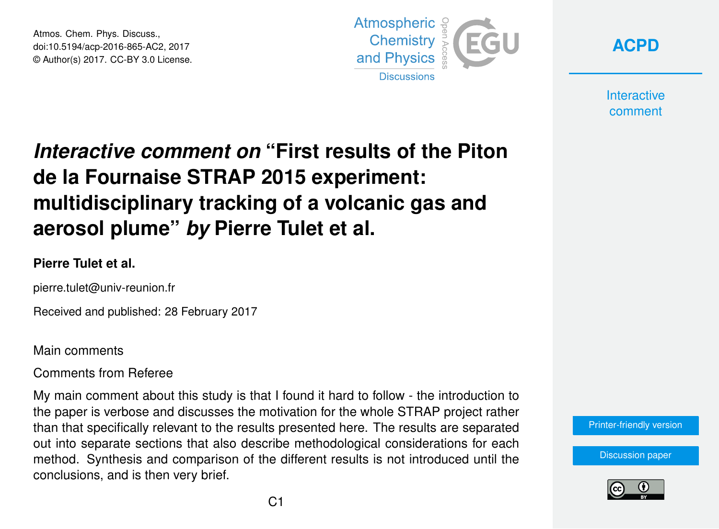Atmos. Chem. Phys. Discuss., doi:10.5194/acp-2016-865-AC2, 2017 © Author(s) 2017. CC-BY 3.0 License.





**Interactive** comment

# *Interactive comment on* **"First results of the Piton de la Fournaise STRAP 2015 experiment: multidisciplinary tracking of a volcanic gas and aerosol plume"** *by* **Pierre Tulet et al.**

# **Pierre Tulet et al.**

pierre.tulet@univ-reunion.fr

Received and published: 28 February 2017

Main comments

Comments from Referee

My main comment about this study is that I found it hard to follow - the introduction to the paper is verbose and discusses the motivation for the whole STRAP project rather than that specifically relevant to the results presented here. The results are separated out into separate sections that also describe methodological considerations for each method. Synthesis and comparison of the different results is not introduced until the conclusions, and is then very brief.



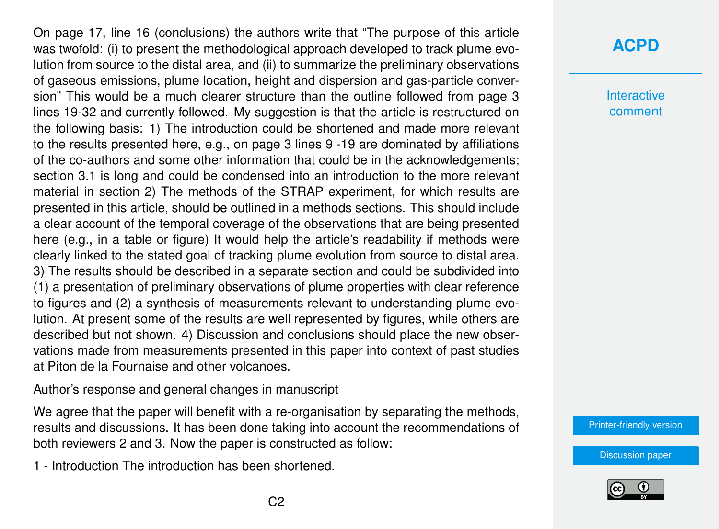On page 17, line 16 (conclusions) the authors write that "The purpose of this article was twofold: (i) to present the methodological approach developed to track plume evolution from source to the distal area, and (ii) to summarize the preliminary observations of gaseous emissions, plume location, height and dispersion and gas-particle conversion" This would be a much clearer structure than the outline followed from page 3 lines 19-32 and currently followed. My suggestion is that the article is restructured on the following basis: 1) The introduction could be shortened and made more relevant to the results presented here, e.g., on page 3 lines 9 -19 are dominated by affiliations of the co-authors and some other information that could be in the acknowledgements; section 3.1 is long and could be condensed into an introduction to the more relevant material in section 2) The methods of the STRAP experiment, for which results are presented in this article, should be outlined in a methods sections. This should include a clear account of the temporal coverage of the observations that are being presented here (e.g., in a table or figure) It would help the article's readability if methods were clearly linked to the stated goal of tracking plume evolution from source to distal area. 3) The results should be described in a separate section and could be subdivided into (1) a presentation of preliminary observations of plume properties with clear reference to figures and (2) a synthesis of measurements relevant to understanding plume evolution. At present some of the results are well represented by figures, while others are described but not shown. 4) Discussion and conclusions should place the new observations made from measurements presented in this paper into context of past studies at Piton de la Fournaise and other volcanoes.

Author's response and general changes in manuscript

We agree that the paper will benefit with a re-organisation by separating the methods, results and discussions. It has been done taking into account the recommendations of both reviewers 2 and 3. Now the paper is constructed as follow:

1 - Introduction The introduction has been shortened.

# **[ACPD](http://www.atmos-chem-phys-discuss.net/)**

**Interactive** comment

[Printer-friendly version](http://www.atmos-chem-phys-discuss.net/acp-2016-865/acp-2016-865-AC2-print.pdf)

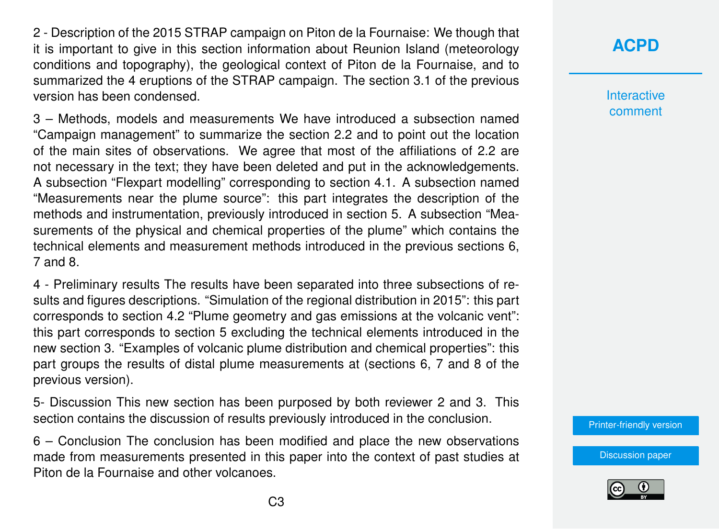2 - Description of the 2015 STRAP campaign on Piton de la Fournaise: We though that it is important to give in this section information about Reunion Island (meteorology conditions and topography), the geological context of Piton de la Fournaise, and to summarized the 4 eruptions of the STRAP campaign. The section 3.1 of the previous version has been condensed.

3 – Methods, models and measurements We have introduced a subsection named "Campaign management" to summarize the section 2.2 and to point out the location of the main sites of observations. We agree that most of the affiliations of 2.2 are not necessary in the text; they have been deleted and put in the acknowledgements. A subsection "Flexpart modelling" corresponding to section 4.1. A subsection named "Measurements near the plume source": this part integrates the description of the methods and instrumentation, previously introduced in section 5. A subsection "Measurements of the physical and chemical properties of the plume" which contains the technical elements and measurement methods introduced in the previous sections 6, 7 and 8.

4 - Preliminary results The results have been separated into three subsections of results and figures descriptions. "Simulation of the regional distribution in 2015": this part corresponds to section 4.2 "Plume geometry and gas emissions at the volcanic vent": this part corresponds to section 5 excluding the technical elements introduced in the new section 3. "Examples of volcanic plume distribution and chemical properties": this part groups the results of distal plume measurements at (sections 6, 7 and 8 of the previous version).

5- Discussion This new section has been purposed by both reviewer 2 and 3. This section contains the discussion of results previously introduced in the conclusion.

6 – Conclusion The conclusion has been modified and place the new observations made from measurements presented in this paper into the context of past studies at Piton de la Fournaise and other volcanoes.

# **[ACPD](http://www.atmos-chem-phys-discuss.net/)**

**Interactive** comment

[Printer-friendly version](http://www.atmos-chem-phys-discuss.net/acp-2016-865/acp-2016-865-AC2-print.pdf)

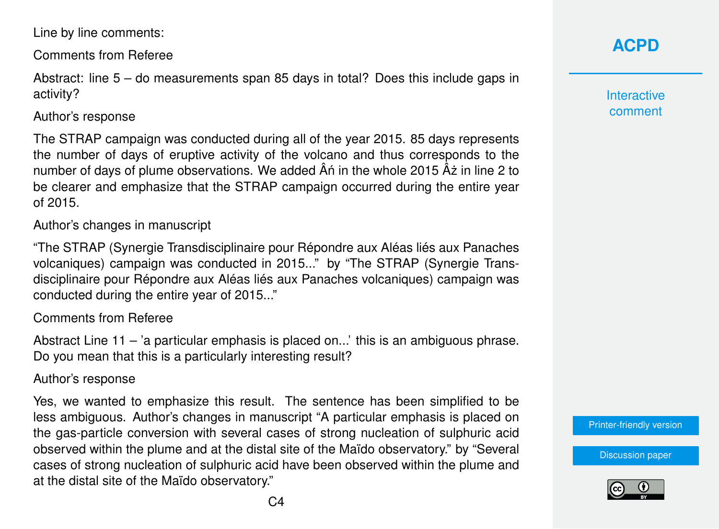Line by line comments:

Comments from Referee

Abstract: line 5 – do measurements span 85 days in total? Does this include gaps in activity?

### Author's response

The STRAP campaign was conducted during all of the year 2015. 85 days represents the number of days of eruptive activity of the volcano and thus corresponds to the number of days of plume observations. We added  $\hat{A}$ n in the whole 2015  $\hat{A}$ ż in line 2 to be clearer and emphasize that the STRAP campaign occurred during the entire year of 2015.

Author's changes in manuscript

"The STRAP (Synergie Transdisciplinaire pour Répondre aux Aléas liés aux Panaches volcaniques) campaign was conducted in 2015..." by "The STRAP (Synergie Transdisciplinaire pour Répondre aux Aléas liés aux Panaches volcaniques) campaign was conducted during the entire year of 2015..."

### Comments from Referee

Abstract Line 11 – 'a particular emphasis is placed on...' this is an ambiguous phrase. Do you mean that this is a particularly interesting result?

### Author's response

Yes, we wanted to emphasize this result. The sentence has been simplified to be less ambiguous. Author's changes in manuscript "A particular emphasis is placed on the gas-particle conversion with several cases of strong nucleation of sulphuric acid observed within the plume and at the distal site of the Maïdo observatory." by "Several cases of strong nucleation of sulphuric acid have been observed within the plume and at the distal site of the Maïdo observatory."

# **[ACPD](http://www.atmos-chem-phys-discuss.net/)**

**Interactive** comment

[Printer-friendly version](http://www.atmos-chem-phys-discuss.net/acp-2016-865/acp-2016-865-AC2-print.pdf)

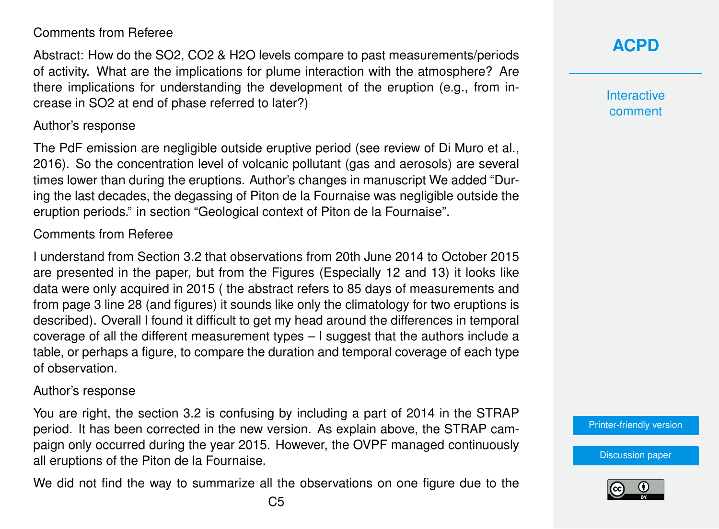## Comments from Referee

Abstract: How do the SO2, CO2 & H2O levels compare to past measurements/periods of activity. What are the implications for plume interaction with the atmosphere? Are there implications for understanding the development of the eruption (e.g., from increase in SO2 at end of phase referred to later?)

#### Author's response

The PdF emission are negligible outside eruptive period (see review of Di Muro et al., 2016). So the concentration level of volcanic pollutant (gas and aerosols) are several times lower than during the eruptions. Author's changes in manuscript We added "During the last decades, the degassing of Piton de la Fournaise was negligible outside the eruption periods." in section "Geological context of Piton de la Fournaise".

#### Comments from Referee

I understand from Section 3.2 that observations from 20th June 2014 to October 2015 are presented in the paper, but from the Figures (Especially 12 and 13) it looks like data were only acquired in 2015 ( the abstract refers to 85 days of measurements and from page 3 line 28 (and figures) it sounds like only the climatology for two eruptions is described). Overall I found it difficult to get my head around the differences in temporal coverage of all the different measurement types – I suggest that the authors include a table, or perhaps a figure, to compare the duration and temporal coverage of each type of observation.

#### Author's response

You are right, the section 3.2 is confusing by including a part of 2014 in the STRAP period. It has been corrected in the new version. As explain above, the STRAP campaign only occurred during the year 2015. However, the OVPF managed continuously all eruptions of the Piton de la Fournaise.

We did not find the way to summarize all the observations on one figure due to the

**[ACPD](http://www.atmos-chem-phys-discuss.net/)**

**Interactive** comment

[Printer-friendly version](http://www.atmos-chem-phys-discuss.net/acp-2016-865/acp-2016-865-AC2-print.pdf)

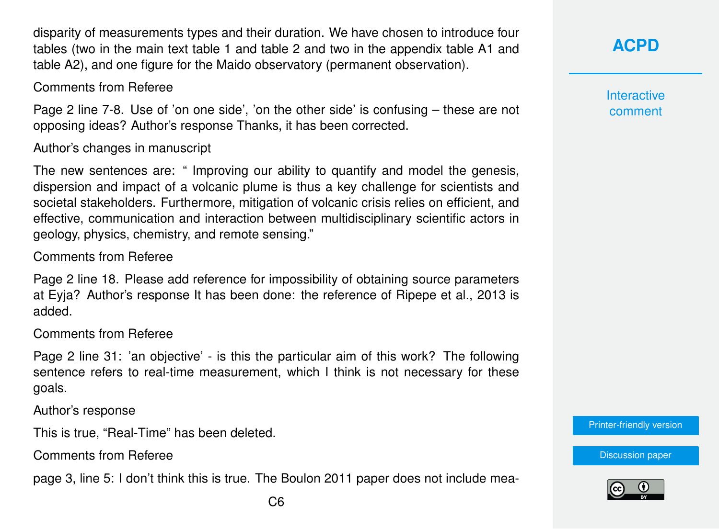disparity of measurements types and their duration. We have chosen to introduce four tables (two in the main text table 1 and table 2 and two in the appendix table A1 and table A2), and one figure for the Maido observatory (permanent observation).

Comments from Referee

Page 2 line 7-8. Use of 'on one side', 'on the other side' is confusing – these are not opposing ideas? Author's response Thanks, it has been corrected.

Author's changes in manuscript

The new sentences are: " Improving our ability to quantify and model the genesis, dispersion and impact of a volcanic plume is thus a key challenge for scientists and societal stakeholders. Furthermore, mitigation of volcanic crisis relies on efficient, and effective, communication and interaction between multidisciplinary scientific actors in geology, physics, chemistry, and remote sensing."

Comments from Referee

Page 2 line 18. Please add reference for impossibility of obtaining source parameters at Eyja? Author's response It has been done: the reference of Ripepe et al., 2013 is added.

Comments from Referee

Page 2 line 31: 'an objective' - is this the particular aim of this work? The following sentence refers to real-time measurement, which I think is not necessary for these goals.

Author's response

This is true, "Real-Time" has been deleted.

Comments from Referee

page 3, line 5: I don't think this is true. The Boulon 2011 paper does not include mea-

**[ACPD](http://www.atmos-chem-phys-discuss.net/)**

**Interactive** comment

[Printer-friendly version](http://www.atmos-chem-phys-discuss.net/acp-2016-865/acp-2016-865-AC2-print.pdf)

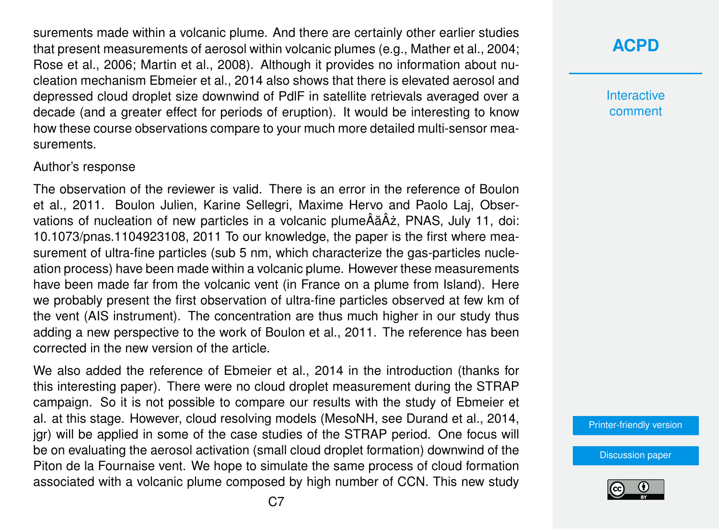surements made within a volcanic plume. And there are certainly other earlier studies that present measurements of aerosol within volcanic plumes (e.g., Mather et al., 2004; Rose et al., 2006; Martin et al., 2008). Although it provides no information about nucleation mechanism Ebmeier et al., 2014 also shows that there is elevated aerosol and depressed cloud droplet size downwind of PdlF in satellite retrievals averaged over a decade (and a greater effect for periods of eruption). It would be interesting to know how these course observations compare to your much more detailed multi-sensor measurements.

#### Author's response

The observation of the reviewer is valid. There is an error in the reference of Boulon et al., 2011. Boulon Julien, Karine Sellegri, Maxime Hervo and Paolo Laj, Observations of nucleation of new particles in a volcanic plumeÂăÂz, PNAS, July 11, doi: 10.1073/pnas.1104923108, 2011 To our knowledge, the paper is the first where measurement of ultra-fine particles (sub 5 nm, which characterize the gas-particles nucleation process) have been made within a volcanic plume. However these measurements have been made far from the volcanic vent (in France on a plume from Island). Here we probably present the first observation of ultra-fine particles observed at few km of the vent (AIS instrument). The concentration are thus much higher in our study thus adding a new perspective to the work of Boulon et al., 2011. The reference has been corrected in the new version of the article.

We also added the reference of Ebmeier et al., 2014 in the introduction (thanks for this interesting paper). There were no cloud droplet measurement during the STRAP campaign. So it is not possible to compare our results with the study of Ebmeier et al. at this stage. However, cloud resolving models (MesoNH, see Durand et al., 2014, jgr) will be applied in some of the case studies of the STRAP period. One focus will be on evaluating the aerosol activation (small cloud droplet formation) downwind of the Piton de la Fournaise vent. We hope to simulate the same process of cloud formation associated with a volcanic plume composed by high number of CCN. This new study

**[ACPD](http://www.atmos-chem-phys-discuss.net/)**

**Interactive** comment

[Printer-friendly version](http://www.atmos-chem-phys-discuss.net/acp-2016-865/acp-2016-865-AC2-print.pdf)

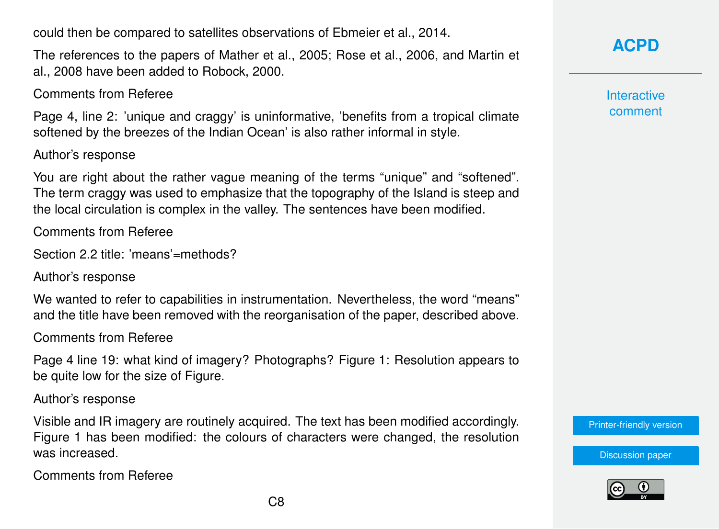could then be compared to satellites observations of Ebmeier et al., 2014.

The references to the papers of Mather et al., 2005; Rose et al., 2006, and Martin et al., 2008 have been added to Robock, 2000.

Comments from Referee

Page 4, line 2: 'unique and craggy' is uninformative, 'benefits from a tropical climate softened by the breezes of the Indian Ocean' is also rather informal in style.

Author's response

You are right about the rather vague meaning of the terms "unique" and "softened". The term craggy was used to emphasize that the topography of the Island is steep and the local circulation is complex in the valley. The sentences have been modified.

Comments from Referee

```
Section 2.2 title: 'means'=methods?
```
Author's response

We wanted to refer to capabilities in instrumentation. Nevertheless, the word "means" and the title have been removed with the reorganisation of the paper, described above.

Comments from Referee

Page 4 line 19: what kind of imagery? Photographs? Figure 1: Resolution appears to be quite low for the size of Figure.

Author's response

Visible and IR imagery are routinely acquired. The text has been modified accordingly. Figure 1 has been modified: the colours of characters were changed, the resolution was increased.

Comments from Referee

**[ACPD](http://www.atmos-chem-phys-discuss.net/)**

**Interactive** comment

[Printer-friendly version](http://www.atmos-chem-phys-discuss.net/acp-2016-865/acp-2016-865-AC2-print.pdf)



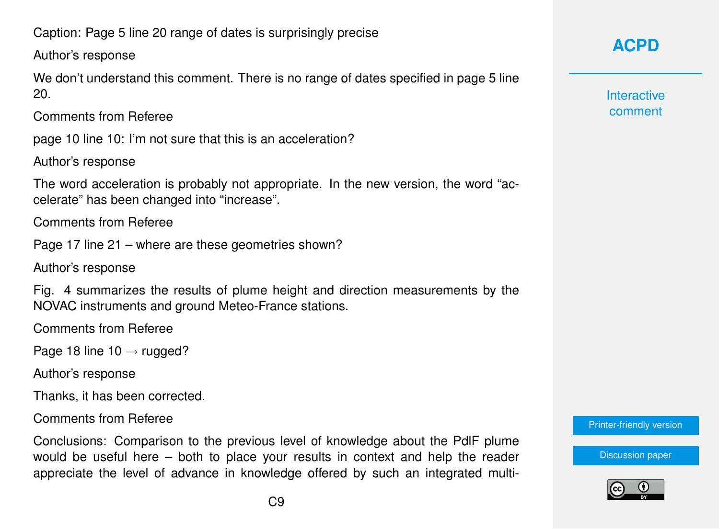Caption: Page 5 line 20 range of dates is surprisingly precise

Author's response

We don't understand this comment. There is no range of dates specified in page 5 line 20.

Comments from Referee

page 10 line 10: I'm not sure that this is an acceleration?

Author's response

The word acceleration is probably not appropriate. In the new version, the word "accelerate" has been changed into "increase".

Comments from Referee

Page 17 line 21 – where are these geometries shown?

Author's response

Fig. 4 summarizes the results of plume height and direction measurements by the NOVAC instruments and ground Meteo-France stations.

Comments from Referee

Page 18 line  $10 \rightarrow$  rugged?

Author's response

Thanks, it has been corrected.

Comments from Referee

Conclusions: Comparison to the previous level of knowledge about the PdlF plume would be useful here – both to place your results in context and help the reader appreciate the level of advance in knowledge offered by such an integrated multi-

# **[ACPD](http://www.atmos-chem-phys-discuss.net/)**

**Interactive** comment

[Printer-friendly version](http://www.atmos-chem-phys-discuss.net/acp-2016-865/acp-2016-865-AC2-print.pdf)